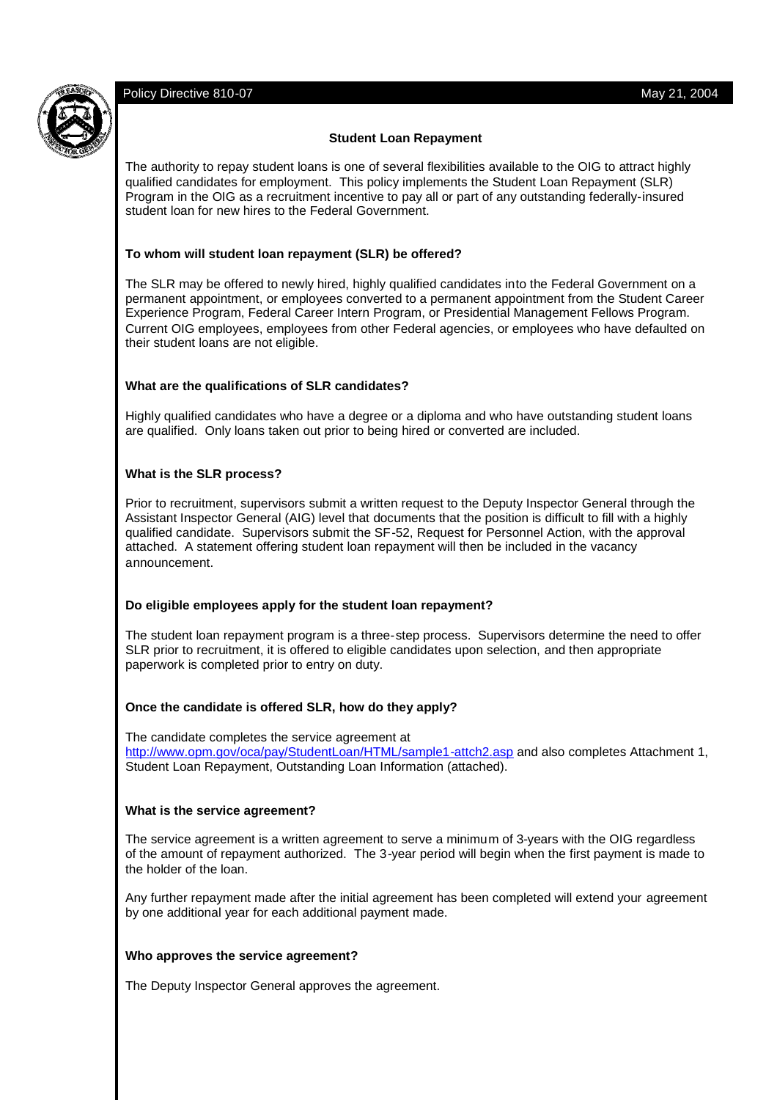## **Student Loan Repayment**

The authority to repay student loans is one of several flexibilities available to the OIG to attract highly qualified candidates for employment. This policy implements the Student Loan Repayment (SLR) Program in the OIG as a recruitment incentive to pay all or part of any outstanding federally-insured student loan for new hires to the Federal Government.

## **To whom will student loan repayment (SLR) be offered?**

The SLR may be offered to newly hired, highly qualified candidates into the Federal Government on a permanent appointment, or employees converted to a permanent appointment from the Student Career Experience Program, Federal Career Intern Program, or Presidential Management Fellows Program. Current OIG employees, employees from other Federal agencies, or employees who have defaulted on their student loans are not eligible.

## **What are the qualifications of SLR candidates?**

Highly qualified candidates who have a degree or a diploma and who have outstanding student loans are qualified. Only loans taken out prior to being hired or converted are included.

# **What is the SLR process?**

Prior to recruitment, supervisors submit a written request to the Deputy Inspector General through the Assistant Inspector General (AIG) level that documents that the position is difficult to fill with a highly qualified candidate. Supervisors submit the SF-52, Request for Personnel Action, with the approval attached. A statement offering student loan repayment will then be included in the vacancy announcement.

#### **Do eligible employees apply for the student loan repayment?**

The student loan repayment program is a three-step process. Supervisors determine the need to offer SLR prior to recruitment, it is offered to eligible candidates upon selection, and then appropriate paperwork is completed prior to entry on duty.

#### **Once the candidate is offered SLR, how do they apply?**

The candidate completes the service agreement at http://www.opm.gov/oca/pay/StudentLoan/HTML/sample1-attch2.asp and also completes Attachment 1, Student Loan Repayment, Outstanding Loan Information (attached).

#### **What is the service agreement?**

The service agreement is a written agreement to serve a minimum of 3-years with the OIG regardless of the amount of repayment authorized. The 3-year period will begin when the first payment is made to the holder of the loan.

Any further repayment made after the initial agreement has been completed will extend your agreement by one additional year for each additional payment made.

#### **Who approves the service agreement?**

The Deputy Inspector General approves the agreement.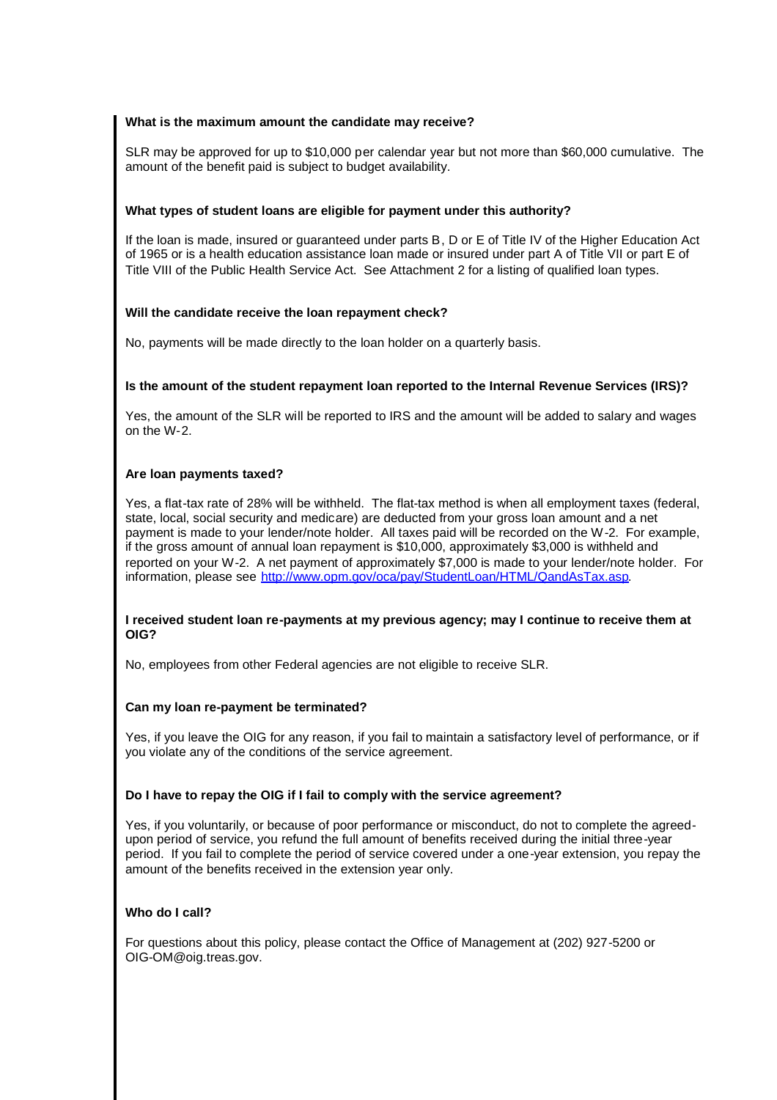## **What is the maximum amount the candidate may receive?**

SLR may be approved for up to \$10,000 per calendar year but not more than \$60,000 cumulative. The amount of the benefit paid is subject to budget availability.

## **What types of student loans are eligible for payment under this authority?**

If the loan is made, insured or guaranteed under parts B, D or E of Title IV of the Higher Education Act of 1965 or is a health education assistance loan made or insured under part A of Title VII or part E of Title VIII of the Public Health Service Act. See Attachment 2 for a listing of qualified loan types.

## **Will the candidate receive the loan repayment check?**

No, payments will be made directly to the loan holder on a quarterly basis.

## **Is the amount of the student repayment loan reported to the Internal Revenue Services (IRS)?**

Yes, the amount of the SLR will be reported to IRS and the amount will be added to salary and wages on the W-2.

# **Are loan payments taxed?**

Yes, a flat-tax rate of 28% will be withheld. The flat-tax method is when all employment taxes (federal, state, local, social security and medicare) are deducted from your gross loan amount and a net payment is made to your lender/note holder. All taxes paid will be recorded on the W-2. For example, if the gross amount of annual loan repayment is \$10,000, approximately \$3,000 is withheld and reported on your W-2. A net payment of approximately \$7,000 is made to your lender/note holder. For information, please see http://www.opm.gov/oca/pay/StudentLoan/HTML/QandAsTax.asp.

#### **I received student loan re-payments at my previous agency; may I continue to receive them at OIG?**

No, employees from other Federal agencies are not eligible to receive SLR.

#### **Can my loan re-payment be terminated?**

Yes, if you leave the OIG for any reason, if you fail to maintain a satisfactory level of performance, or if you violate any of the conditions of the service agreement.

#### **Do I have to repay the OIG if I fail to comply with the service agreement?**

Yes, if you voluntarily, or because of poor performance or misconduct, do not to complete the agreedupon period of service, you refund the full amount of benefits received during the initial three-year period. If you fail to complete the period of service covered under a one-year extension, you repay the amount of the benefits received in the extension year only.

# **Who do I call?**

For questions about this policy, please contact the Office of Management at (202) 927-5200 or OIG-OM@oig.treas.gov.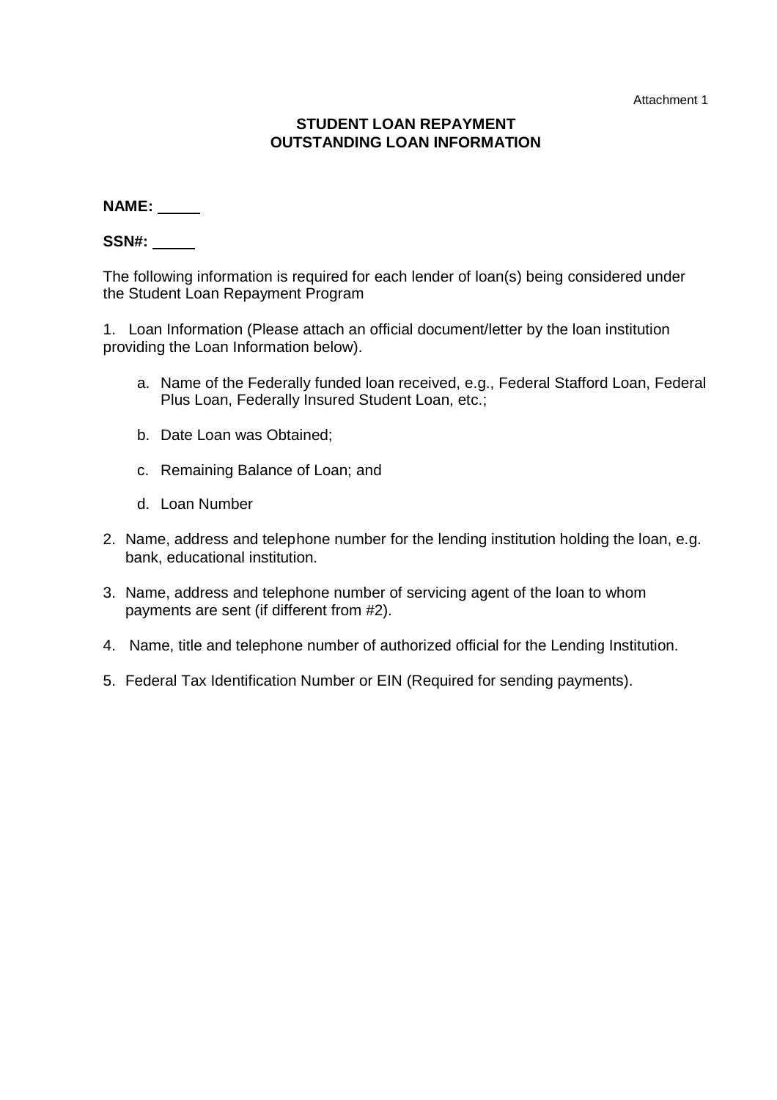Attachment 1

# **STUDENT LOAN REPAYMENT OUTSTANDING LOAN INFORMATION**

**NAME:**

**SSN#:**

The following information is required for each lender of loan(s) being considered under the Student Loan Repayment Program

1. Loan Information (Please attach an official document/letter by the loan institution providing the Loan Information below).

- a. Name of the Federally funded loan received, e.g., Federal Stafford Loan, Federal Plus Loan, Federally Insured Student Loan, etc.;
- b. Date Loan was Obtained;
- c. Remaining Balance of Loan; and
- d. Loan Number
- 2. Name, address and telephone number for the lending institution holding the loan, e.g. bank, educational institution.
- 3. Name, address and telephone number of servicing agent of the loan to whom payments are sent (if different from #2).
- 4. Name, title and telephone number of authorized official for the Lending Institution.
- 5. Federal Tax Identification Number or EIN (Required for sending payments).